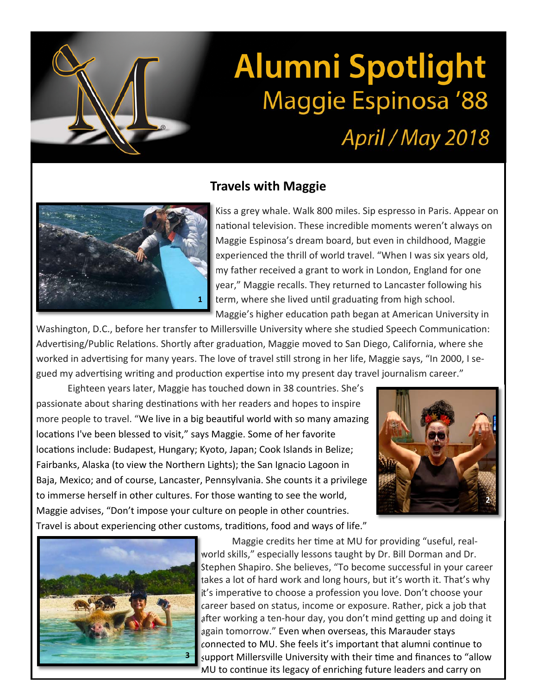## **Alumni Spotlight Maggie Espinosa '88**

## April / May 2018

## **Travels with Maggie**



Kiss a grey whale. Walk 800 miles. Sip espresso in Paris. Appear on national television. These incredible moments weren't always on Maggie Espinosa's dream board, but even in childhood, Maggie experienced the thrill of world travel. "When I was six years old, my father received a grant to work in London, England for one year," Maggie recalls. They returned to Lancaster following his term, where she lived until graduating from high school. Maggie's higher education path began at American University in

Washington, D.C., before her transfer to Millersville University where she studied Speech Communication: Advertising/Public Relations. Shortly after graduation, Maggie moved to San Diego, California, where she worked in advertising for many years. The love of travel still strong in her life, Maggie says, "In 2000, I segued my advertising writing and production expertise into my present day travel journalism career."

Eighteen years later, Maggie has touched down in 38 countries. She's passionate about sharing destinations with her readers and hopes to inspire more people to travel. "We live in a big beautiful world with so many amazing locations I've been blessed to visit," says Maggie. Some of her favorite locations include: Budapest, Hungary; Kyoto, Japan; Cook Islands in Belize; Fairbanks, Alaska (to view the Northern Lights); the San Ignacio Lagoon in Baja, Mexico; and of course, Lancaster, Pennsylvania. She counts it a privilege to immerse herself in other cultures. For those wanting to see the world, Maggie advises, "Don't impose your culture on people in other countries. Travel is about experiencing other customs, traditions, food and ways of life."





Maggie credits her time at MU for providing "useful, realworld skills," especially lessons taught by Dr. Bill Dorman and Dr. Stephen Shapiro. She believes, "To become successful in your career takes a lot of hard work and long hours, but it's worth it. That's why it's imperative to choose a profession you love. Don't choose your career based on status, income or exposure. Rather, pick a job that after working a ten-hour day, you don't mind getting up and doing it again tomorrow." Even when overseas, this Marauder stays connected to MU. She feels it's important that alumni continue to support Millersville University with their time and finances to "allow MU to continue its legacy of enriching future leaders and carry on